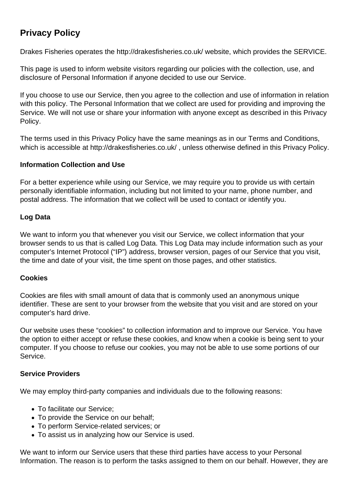# **Privacy Policy**

Drakes Fisheries operates the http://drakesfisheries.co.uk/ website, which provides the SERVICE.

This page is used to inform website visitors regarding our policies with the collection, use, and disclosure of Personal Information if anyone decided to use our Service.

If you choose to use our Service, then you agree to the collection and use of information in relation with this policy. The Personal Information that we collect are used for providing and improving the Service. We will not use or share your information with anyone except as described in this Privacy Policy.

The terms used in this Privacy Policy have the same meanings as in our Terms and Conditions, which is accessible at http://drakesfisheries.co.uk/ , unless otherwise defined in this Privacy Policy.

# **Information Collection and Use**

For a better experience while using our Service, we may require you to provide us with certain personally identifiable information, including but not limited to your name, phone number, and postal address. The information that we collect will be used to contact or identify you.

# **Log Data**

We want to inform you that whenever you visit our Service, we collect information that your browser sends to us that is called Log Data. This Log Data may include information such as your computer's Internet Protocol ("IP") address, browser version, pages of our Service that you visit, the time and date of your visit, the time spent on those pages, and other statistics.

# **Cookies**

Cookies are files with small amount of data that is commonly used an anonymous unique identifier. These are sent to your browser from the website that you visit and are stored on your computer's hard drive.

Our website uses these "cookies" to collection information and to improve our Service. You have the option to either accept or refuse these cookies, and know when a cookie is being sent to your computer. If you choose to refuse our cookies, you may not be able to use some portions of our Service.

# **Service Providers**

We may employ third-party companies and individuals due to the following reasons:

- To facilitate our Service;
- To provide the Service on our behalf:
- To perform Service-related services; or
- To assist us in analyzing how our Service is used.

We want to inform our Service users that these third parties have access to your Personal Information. The reason is to perform the tasks assigned to them on our behalf. However, they are